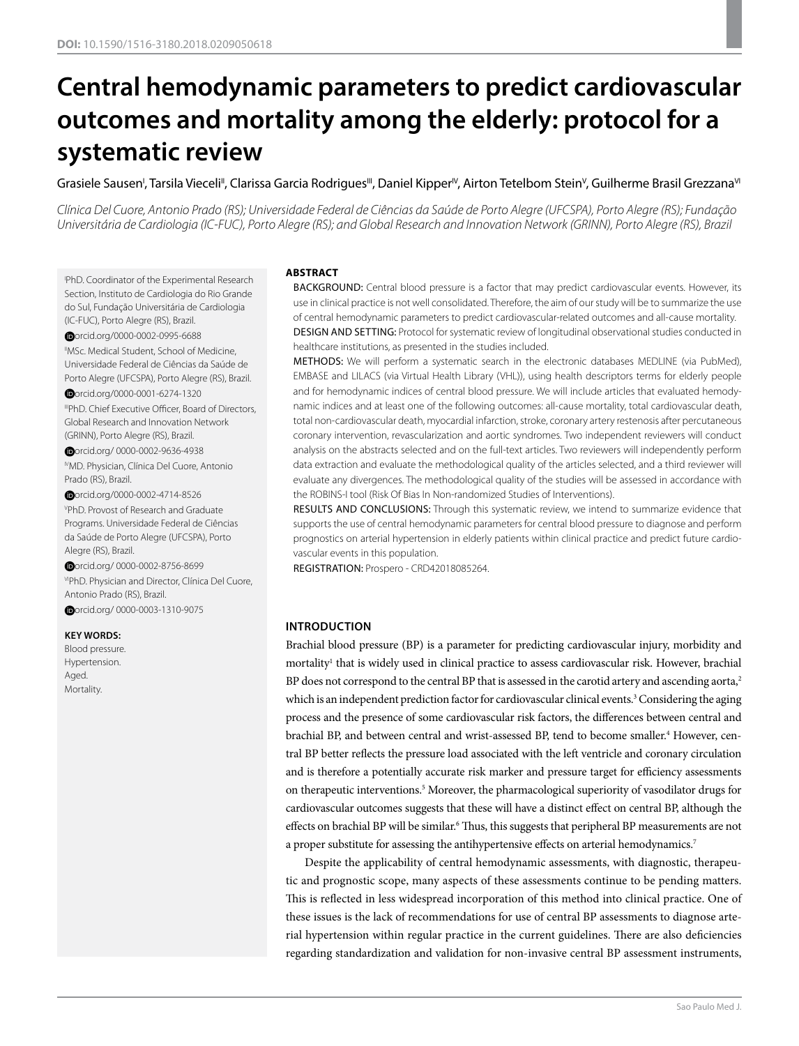# **Central hemodynamic parameters to predict cardiovascular outcomes and mortality among the elderly: protocol for a systematic review**

# Grasiele Sausen', Tarsila Vieceli", Clarissa Garcia Rodrigues"', Daniel Kipper<sup>v,</sup> Airton Tetelbom Stein<sup>v</sup>, Guilherme Brasil Grezzana<sup>v</sup>

*Clínica Del Cuore, Antonio Prado (RS); Universidade Federal de Ciências da Saúde de Porto Alegre (UFCSPA), Porto Alegre (RS); Fundação Universitária de Cardiologia (IC-FUC), Porto Alegre (RS); and Global Research and Innovation Network (GRINN), Porto Alegre (RS), Brazil*

PhD. Coordinator of the Experimental Research Section, Instituto de Cardiologia do Rio Grande do Sul, Fundação Universitária de Cardiologia (IC-FUC), Porto Alegre (RS), Brazil.

orcid.org/0000-0002-0995-6688 "MSc. Medical Student, School of Medicine, Universidade Federal de Ciências da Saúde de Porto Alegre (UFCSPA), Porto Alegre (RS), Brazil.

orcid.org/0000-0001-6274-1320

IIIPhD. Chief Executive Officer, Board of Directors, Global Research and Innovation Network (GRINN), Porto Alegre (RS), Brazil.

orcid.org/ 0000-0002-9636-4938 IVMD. Physician, Clínica Del Cuore, Antonio Prado (RS), Brazil.

orcid.org/0000-0002-4714-8526

V PhD. Provost of Research and Graduate Programs. Universidade Federal de Ciências da Saúde de Porto Alegre (UFCSPA), Porto Alegre (RS), Brazil.

orcid.org/ 0000-0002-8756-8699

viPhD. Physician and Director, Clínica Del Cuore, Antonio Prado (RS), Brazil.

orcid.org/ 0000-0003-1310-9075

#### **KEY WORDS:**

Blood pressure. Hypertension. Aged. Mortality.

#### **ABSTRACT**

BACKGROUND: Central blood pressure is a factor that may predict cardiovascular events. However, its use in clinical practice is not well consolidated. Therefore, the aim of our study will be to summarize the use of central hemodynamic parameters to predict cardiovascular-related outcomes and all-cause mortality. DESIGN AND SETTING: Protocol for systematic review of longitudinal observational studies conducted in healthcare institutions, as presented in the studies included.

METHODS: We will perform a systematic search in the electronic databases MEDLINE (via PubMed), EMBASE and LILACS (via Virtual Health Library (VHL)), using health descriptors terms for elderly people and for hemodynamic indices of central blood pressure. We will include articles that evaluated hemodynamic indices and at least one of the following outcomes: all-cause mortality, total cardiovascular death, total non-cardiovascular death, myocardial infarction, stroke, coronary artery restenosis after percutaneous coronary intervention, revascularization and aortic syndromes. Two independent reviewers will conduct analysis on the abstracts selected and on the full-text articles. Two reviewers will independently perform data extraction and evaluate the methodological quality of the articles selected, and a third reviewer will evaluate any divergences. The methodological quality of the studies will be assessed in accordance with the ROBINS-I tool (Risk Of Bias In Non-randomized Studies of Interventions).

RESULTS AND CONCLUSIONS: Through this systematic review, we intend to summarize evidence that supports the use of central hemodynamic parameters for central blood pressure to diagnose and perform prognostics on arterial hypertension in elderly patients within clinical practice and predict future cardiovascular events in this population.

REGISTRATION: Prospero - CRD42018085264.

## **INTRODUCTION**

Brachial blood pressure (BP) is a parameter for predicting cardiovascular injury, morbidity and mortality<sup>1</sup> that is widely used in clinical practice to assess cardiovascular risk. However, brachial BP does not correspond to the central BP that is assessed in the carotid artery and ascending aorta,<sup>2</sup> which is an independent prediction factor for cardiovascular clinical events.<sup>3</sup> Considering the aging process and the presence of some cardiovascular risk factors, the differences between central and brachial BP, and between central and wrist-assessed BP, tend to become smaller.<sup>4</sup> However, central BP better reflects the pressure load associated with the left ventricle and coronary circulation and is therefore a potentially accurate risk marker and pressure target for efficiency assessments on therapeutic interventions.<sup>5</sup> Moreover, the pharmacological superiority of vasodilator drugs for cardiovascular outcomes suggests that these will have a distinct effect on central BP, although the effects on brachial BP will be similar.<sup>6</sup> Thus, this suggests that peripheral BP measurements are not a proper substitute for assessing the antihypertensive effects on arterial hemodynamics.<sup>7</sup>

Despite the applicability of central hemodynamic assessments, with diagnostic, therapeutic and prognostic scope, many aspects of these assessments continue to be pending matters. This is reflected in less widespread incorporation of this method into clinical practice. One of these issues is the lack of recommendations for use of central BP assessments to diagnose arterial hypertension within regular practice in the current guidelines. There are also deficiencies regarding standardization and validation for non-invasive central BP assessment instruments,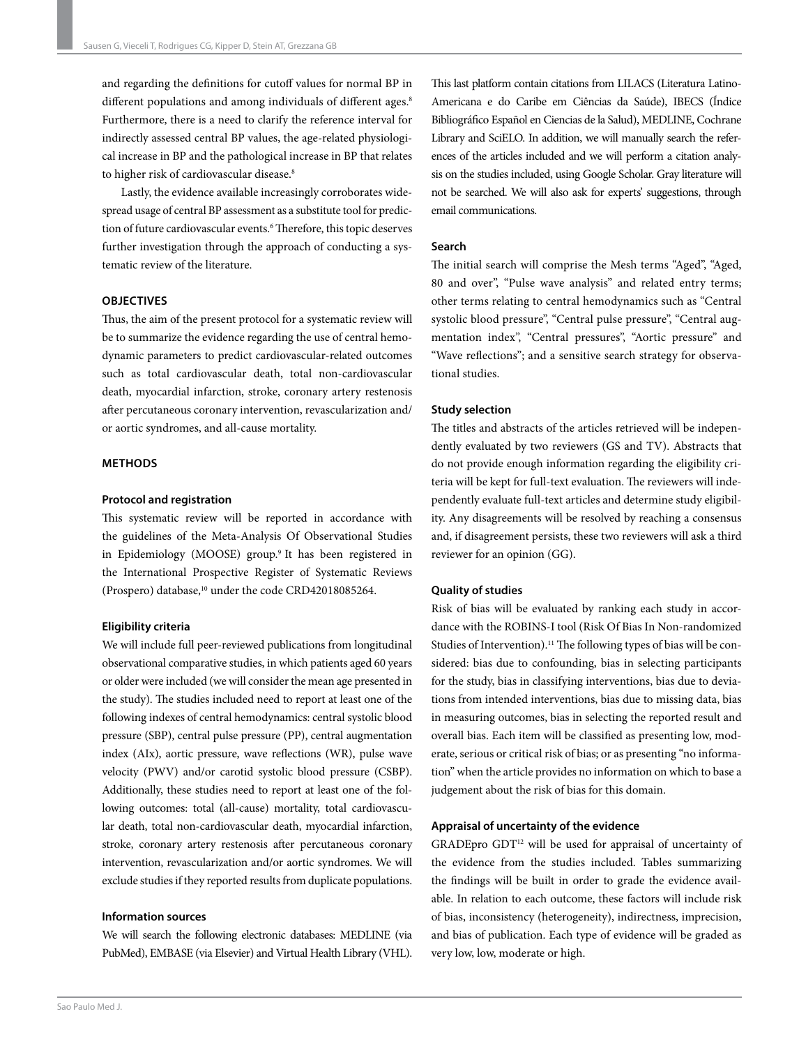and regarding the definitions for cutoff values for normal BP in different populations and among individuals of different ages.<sup>8</sup> Furthermore, there is a need to clarify the reference interval for indirectly assessed central BP values, the age-related physiological increase in BP and the pathological increase in BP that relates to higher risk of cardiovascular disease.<sup>8</sup>

Lastly, the evidence available increasingly corroborates widespread usage of central BP assessment as a substitute tool for prediction of future cardiovascular events.<sup>6</sup> Therefore, this topic deserves further investigation through the approach of conducting a systematic review of the literature.

# **OBJECTIVES**

Thus, the aim of the present protocol for a systematic review will be to summarize the evidence regarding the use of central hemodynamic parameters to predict cardiovascular-related outcomes such as total cardiovascular death, total non-cardiovascular death, myocardial infarction, stroke, coronary artery restenosis after percutaneous coronary intervention, revascularization and/ or aortic syndromes, and all-cause mortality.

## **METHODS**

#### **Protocol and registration**

This systematic review will be reported in accordance with the guidelines of the Meta-Analysis Of Observational Studies in Epidemiology (MOOSE) group.9 It has been registered in the International Prospective Register of Systematic Reviews (Prospero) database,<sup>10</sup> under the code CRD42018085264.

#### **Eligibility criteria**

We will include full peer-reviewed publications from longitudinal observational comparative studies, in which patients aged 60 years or older were included (we will consider the mean age presented in the study). The studies included need to report at least one of the following indexes of central hemodynamics: central systolic blood pressure (SBP), central pulse pressure (PP), central augmentation index (AIx), aortic pressure, wave reflections (WR), pulse wave velocity (PWV) and/or carotid systolic blood pressure (CSBP). Additionally, these studies need to report at least one of the following outcomes: total (all-cause) mortality, total cardiovascular death, total non-cardiovascular death, myocardial infarction, stroke, coronary artery restenosis after percutaneous coronary intervention, revascularization and/or aortic syndromes. We will exclude studies if they reported results from duplicate populations.

#### **Information sources**

We will search the following electronic databases: MEDLINE (via PubMed), EMBASE (via Elsevier) and Virtual Health Library (VHL). This last platform contain citations from LILACS (Literatura Latino-Americana e do Caribe em Ciências da Saúde), IBECS (Índice Bibliográfico Español en Ciencias de la Salud), MEDLINE, Cochrane Library and SciELO. In addition, we will manually search the references of the articles included and we will perform a citation analysis on the studies included, using Google Scholar. Gray literature will not be searched. We will also ask for experts' suggestions, through email communications.

#### **Search**

The initial search will comprise the Mesh terms "Aged", "Aged, 80 and over", "Pulse wave analysis" and related entry terms; other terms relating to central hemodynamics such as "Central systolic blood pressure", "Central pulse pressure", "Central augmentation index", "Central pressures", "Aortic pressure" and "Wave reflections"; and a sensitive search strategy for observational studies.

#### **Study selection**

The titles and abstracts of the articles retrieved will be independently evaluated by two reviewers (GS and TV). Abstracts that do not provide enough information regarding the eligibility criteria will be kept for full-text evaluation. The reviewers will independently evaluate full-text articles and determine study eligibility. Any disagreements will be resolved by reaching a consensus and, if disagreement persists, these two reviewers will ask a third reviewer for an opinion (GG).

#### **Quality of studies**

Risk of bias will be evaluated by ranking each study in accordance with the ROBINS-I tool (Risk Of Bias In Non-randomized Studies of Intervention).<sup>11</sup> The following types of bias will be considered: bias due to confounding, bias in selecting participants for the study, bias in classifying interventions, bias due to deviations from intended interventions, bias due to missing data, bias in measuring outcomes, bias in selecting the reported result and overall bias. Each item will be classified as presenting low, moderate, serious or critical risk of bias; or as presenting "no information" when the article provides no information on which to base a judgement about the risk of bias for this domain.

#### **Appraisal of uncertainty of the evidence**

GRADEpro GDT<sup>12</sup> will be used for appraisal of uncertainty of the evidence from the studies included. Tables summarizing the findings will be built in order to grade the evidence available. In relation to each outcome, these factors will include risk of bias, inconsistency (heterogeneity), indirectness, imprecision, and bias of publication. Each type of evidence will be graded as very low, low, moderate or high.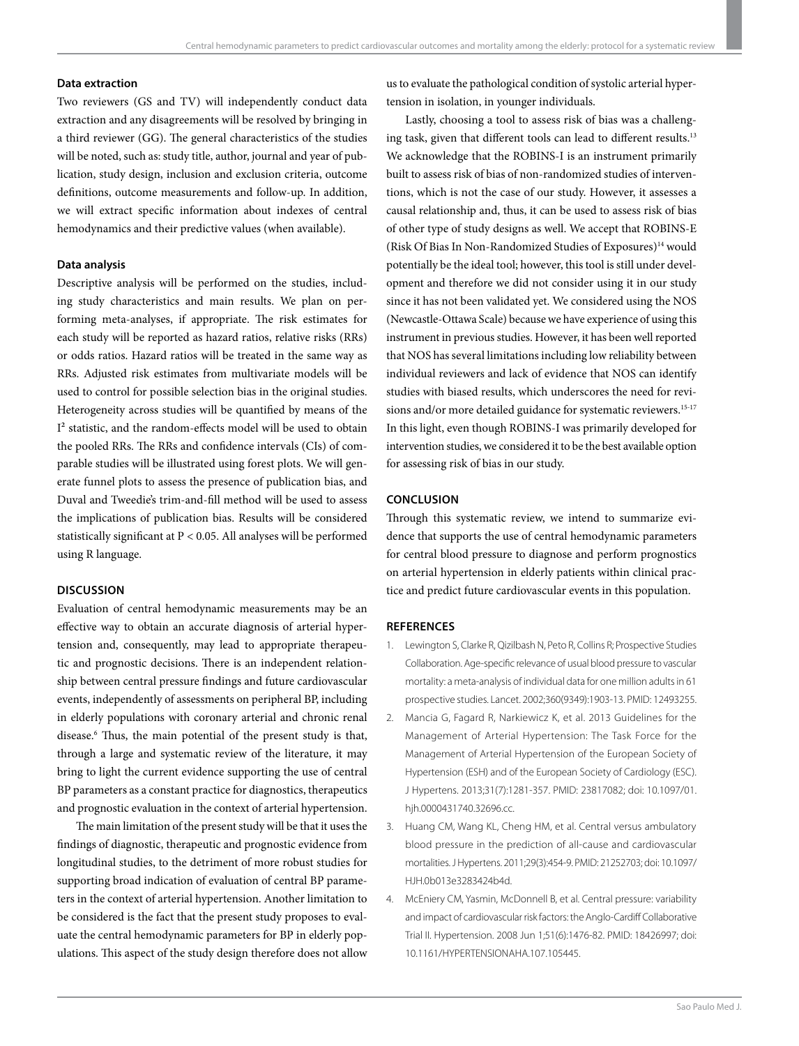## **Data extraction**

Two reviewers (GS and TV) will independently conduct data extraction and any disagreements will be resolved by bringing in a third reviewer (GG). The general characteristics of the studies will be noted, such as: study title, author, journal and year of publication, study design, inclusion and exclusion criteria, outcome definitions, outcome measurements and follow-up. In addition, we will extract specific information about indexes of central hemodynamics and their predictive values (when available).

#### **Data analysis**

Descriptive analysis will be performed on the studies, including study characteristics and main results. We plan on performing meta-analyses, if appropriate. The risk estimates for each study will be reported as hazard ratios, relative risks (RRs) or odds ratios. Hazard ratios will be treated in the same way as RRs. Adjusted risk estimates from multivariate models will be used to control for possible selection bias in the original studies. Heterogeneity across studies will be quantified by means of the I² statistic, and the random-effects model will be used to obtain the pooled RRs. The RRs and confidence intervals (CIs) of comparable studies will be illustrated using forest plots. We will generate funnel plots to assess the presence of publication bias, and Duval and Tweedie's trim-and-fill method will be used to assess the implications of publication bias. Results will be considered statistically significant at P < 0.05. All analyses will be performed using R language.

## **DISCUSSION**

Evaluation of central hemodynamic measurements may be an effective way to obtain an accurate diagnosis of arterial hypertension and, consequently, may lead to appropriate therapeutic and prognostic decisions. There is an independent relationship between central pressure findings and future cardiovascular events, independently of assessments on peripheral BP, including in elderly populations with coronary arterial and chronic renal disease.6 Thus, the main potential of the present study is that, through a large and systematic review of the literature, it may bring to light the current evidence supporting the use of central BP parameters as a constant practice for diagnostics, therapeutics and prognostic evaluation in the context of arterial hypertension.

The main limitation of the present study will be that it uses the findings of diagnostic, therapeutic and prognostic evidence from longitudinal studies, to the detriment of more robust studies for supporting broad indication of evaluation of central BP parameters in the context of arterial hypertension. Another limitation to be considered is the fact that the present study proposes to evaluate the central hemodynamic parameters for BP in elderly populations. This aspect of the study design therefore does not allow

us to evaluate the pathological condition of systolic arterial hypertension in isolation, in younger individuals.

Lastly, choosing a tool to assess risk of bias was a challenging task, given that different tools can lead to different results.13 We acknowledge that the ROBINS-I is an instrument primarily built to assess risk of bias of non-randomized studies of interventions, which is not the case of our study. However, it assesses a causal relationship and, thus, it can be used to assess risk of bias of other type of study designs as well. We accept that ROBINS-E (Risk Of Bias In Non-Randomized Studies of Exposures)<sup>14</sup> would potentially be the ideal tool; however, this tool is still under development and therefore we did not consider using it in our study since it has not been validated yet. We considered using the NOS (Newcastle-Ottawa Scale) because we have experience of using this instrument in previous studies. However, it has been well reported that NOS has several limitations including low reliability between individual reviewers and lack of evidence that NOS can identify studies with biased results, which underscores the need for revisions and/or more detailed guidance for systematic reviewers.<sup>15-17</sup> In this light, even though ROBINS-I was primarily developed for intervention studies, we considered it to be the best available option for assessing risk of bias in our study.

## **CONCLUSION**

Through this systematic review, we intend to summarize evidence that supports the use of central hemodynamic parameters for central blood pressure to diagnose and perform prognostics on arterial hypertension in elderly patients within clinical practice and predict future cardiovascular events in this population.

#### **REFERENCES**

- 1. Lewington S, Clarke R, Qizilbash N, Peto R, Collins R; Prospective Studies Collaboration. Age-specific relevance of usual blood pressure to vascular mortality: a meta-analysis of individual data for one million adults in 61 prospective studies. Lancet. 2002;360(9349):1903-13. PMID: 12493255.
- 2. Mancia G, Fagard R, Narkiewicz K, et al. 2013 Guidelines for the Management of Arterial Hypertension: The Task Force for the Management of Arterial Hypertension of the European Society of Hypertension (ESH) and of the European Society of Cardiology (ESC). J Hypertens. 2013;31(7):1281-357. PMID: 23817082; doi: 10.1097/01. hjh.0000431740.32696.cc.
- 3. Huang CM, Wang KL, Cheng HM, et al. Central versus ambulatory blood pressure in the prediction of all-cause and cardiovascular mortalities. J Hypertens. 2011;29(3):454-9. PMID: 21252703; doi: 10.1097/ HJH.0b013e3283424b4d.
- 4. McEniery CM, Yasmin, McDonnell B, et al. Central pressure: variability and impact of cardiovascular risk factors: the Anglo-Cardiff Collaborative Trial II. Hypertension. 2008 Jun 1;51(6):1476-82. PMID: 18426997; doi: 10.1161/HYPERTENSIONAHA.107.105445.